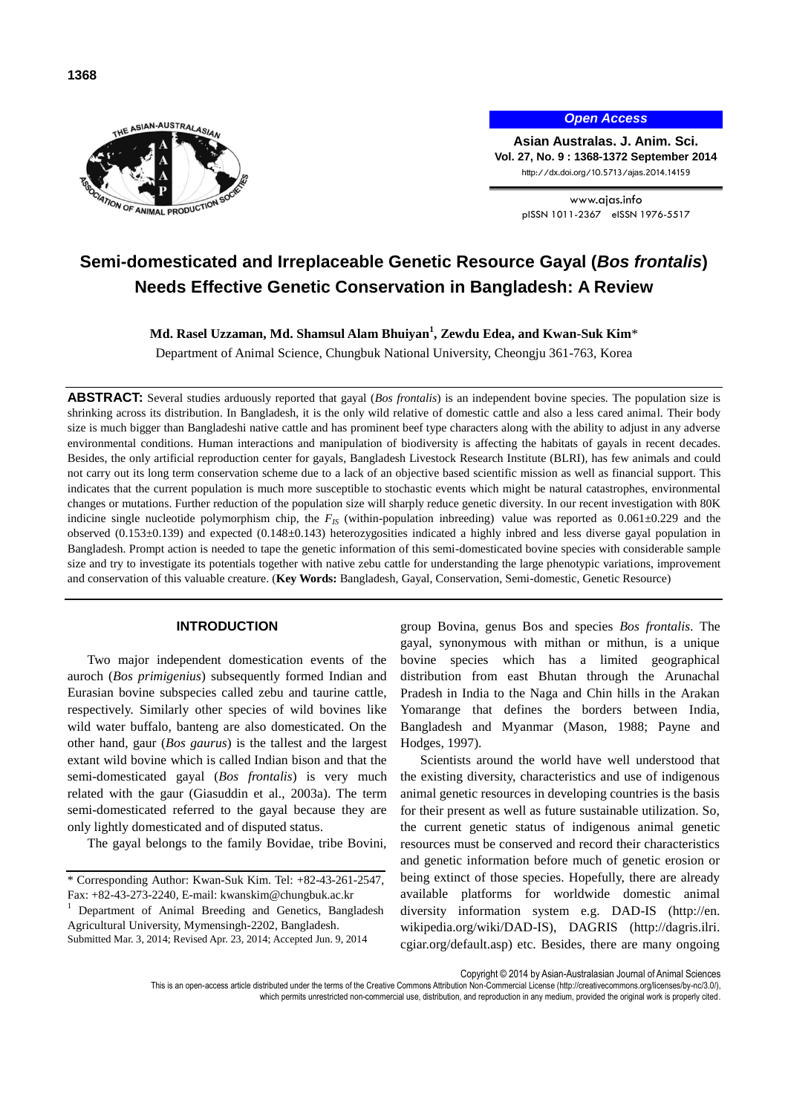

*Open Access*

**Asian Australas. J. Anim. Sci. Vol. 27, No. 9 : 1368-1372 September 2014** http://dx.doi.org/10.5713/ajas.2014.14159

> www.ajas.info pISSN 1011-2367 eISSN 1976-5517

# **Semi-domesticated and Irreplaceable Genetic Resource Gayal (***Bos frontalis***) Needs Effective Genetic Conservation in Bangladesh: A Review**

**Md. Rasel Uzzaman, Md. Shamsul Alam Bhuiyan<sup>1</sup> , Zewdu Edea, and Kwan-Suk Kim**\*

Department of Animal Science, Chungbuk National University, Cheongju 361-763, Korea

**ABSTRACT:** Several studies arduously reported that gayal (*Bos frontalis*) is an independent bovine species. The population size is shrinking across its distribution. In Bangladesh, it is the only wild relative of domestic cattle and also a less cared animal. Their body size is much bigger than Bangladeshi native cattle and has prominent beef type characters along with the ability to adjust in any adverse environmental conditions. Human interactions and manipulation of biodiversity is affecting the habitats of gayals in recent decades. Besides, the only artificial reproduction center for gayals, Bangladesh Livestock Research Institute (BLRI), has few animals and could not carry out its long term conservation scheme due to a lack of an objective based scientific mission as well as financial support. This indicates that the current population is much more susceptible to stochastic events which might be natural catastrophes, environmental changes or mutations. Further reduction of the population size will sharply reduce genetic diversity. In our recent investigation with 80K indicine single nucleotide polymorphism chip, the  $F_{IS}$  (within-population inbreeding) value was reported as  $0.061 \pm 0.229$  and the observed (0.153±0.139) and expected (0.148±0.143) heterozygosities indicated a highly inbred and less diverse gayal population in Bangladesh. Prompt action is needed to tape the genetic information of this semi-domesticated bovine species with considerable sample size and try to investigate its potentials together with native zebu cattle for understanding the large phenotypic variations, improvement and conservation of this valuable creature. (**Key Words:** Bangladesh, Gayal, Conservation, Semi-domestic, Genetic Resource)

### **INTRODUCTION**

Two major independent domestication events of the auroch (*Bos primigenius*) subsequently formed Indian and Eurasian bovine subspecies called zebu and taurine cattle, respectively. Similarly other species of wild bovines like wild water buffalo, banteng are also domesticated. On the other hand, gaur (*Bos gaurus*) is the tallest and the largest extant wild bovine which is called Indian bison and that the semi-domesticated gayal (*Bos frontalis*) is very much related with the gaur (Giasuddin et al., 2003a). The term semi-domesticated referred to the gayal because they are only lightly domesticated and of disputed status.

The gayal belongs to the family Bovidae, tribe Bovini,

group Bovina, genus Bos and species *Bos frontalis*. The gayal, synonymous with mithan or mithun, is a unique bovine species which has a limited geographical distribution from east Bhutan through the Arunachal Pradesh in India to the Naga and Chin hills in the Arakan Yomarange that defines the borders between India, Bangladesh and Myanmar (Mason, 1988; Payne and Hodges, 1997).

Scientists around the world have well understood that the existing diversity, characteristics and use of indigenous animal genetic resources in developing countries is the basis for their present as well as future sustainable utilization. So, the current genetic status of indigenous animal genetic resources must be conserved and record their characteristics and genetic information before much of genetic erosion or being extinct of those species. Hopefully, there are already available platforms for worldwide domestic animal diversity information system e.g. DAD-IS [\(http://en.](http://en.wikipedia.org/wiki/DAD-IS) [wikipedia.org/wiki/DAD-IS\)](http://en.wikipedia.org/wiki/DAD-IS), DAGRIS [\(http://dagris.ilri.](http://dagris.ilri.cgiar.org/default.asp) [cgiar.org/default.asp\)](http://dagris.ilri.cgiar.org/default.asp) etc. Besides, there are many ongoing

Copyright © 2014 by Asian-Australasian Journal of Animal Sciences

<sup>\*</sup> Corresponding Author: Kwan-Suk Kim. Tel: +82-43-261-2547, Fax: +82-43-273-2240, E-mail[: kwanskim@chungbuk.ac.k](mailto:kwanskim@chungbuk.ac)r

<sup>1</sup> Department of Animal Breeding and Genetics, Bangladesh Agricultural University, Mymensingh-2202, Bangladesh. Submitted Mar. 3, 2014; Revised Apr. 23, 2014; Accepted Jun. 9, 2014

This is an open-access article distributed under the terms of the Creative Commons Attribution Non-Commercial License [\(http://creativecommons.org/licenses/by-nc/3.0/\),](http://creativecommons.org/licenses/by-nc/3.0/) which permits unrestricted non-commercial use, distribution, and reproduction in any medium, provided the original work is properly cited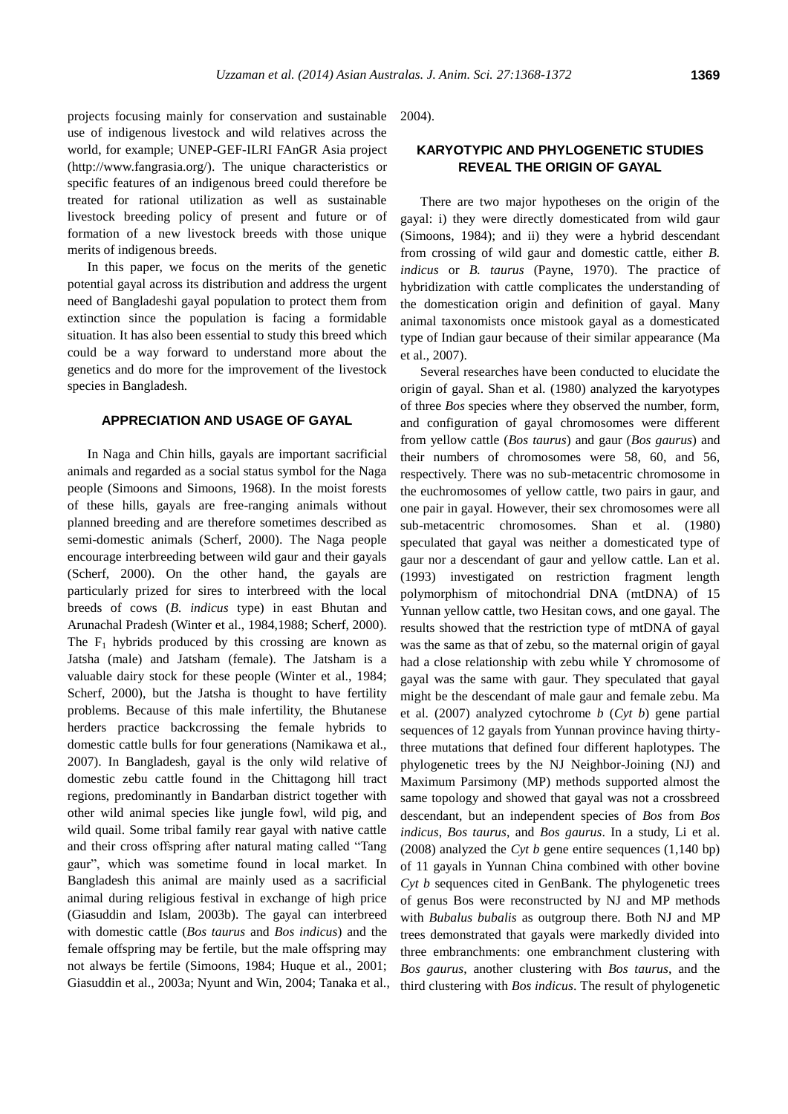projects focusing mainly for conservation and sustainable use of indigenous livestock and wild relatives across the world, for example; UNEP-GEF-ILRI FAnGR Asia project [\(http://www.fangrasia.org/\)](http://www.fangrasia.org/). The unique characteristics or specific features of an indigenous breed could therefore be treated for rational utilization as well as sustainable livestock breeding policy of present and future or of formation of a new livestock breeds with those unique merits of indigenous breeds.

In this paper, we focus on the merits of the genetic potential gayal across its distribution and address the urgent need of Bangladeshi gayal population to protect them from extinction since the population is facing a formidable situation. It has also been essential to study this breed which could be a way forward to understand more about the genetics and do more for the improvement of the livestock species in Bangladesh.

### **APPRECIATION AND USAGE OF GAYAL**

In Naga and Chin hills, gayals are important sacrificial animals and regarded as a social status symbol for the Naga people (Simoons and Simoons, 1968). In the moist forests of these hills, gayals are free-ranging animals without planned breeding and are therefore sometimes described as semi-domestic animals (Scherf, 2000). The Naga people encourage interbreeding between wild gaur and their gayals (Scherf, 2000). On the other hand, the gayals are particularly prized for sires to interbreed with the local breeds of cows (*B. indicus* type) in east Bhutan and Arunachal Pradesh (Winter et al., 1984,1988; Scherf, 2000). The  $F_1$  hybrids produced by this crossing are known as Jatsha (male) and Jatsham (female). The Jatsham is a valuable dairy stock for these people (Winter et al., 1984; Scherf, 2000), but the Jatsha is thought to have fertility problems. Because of this male infertility, the Bhutanese herders practice backcrossing the female hybrids to domestic cattle bulls for four generations (Namikawa et al., 2007). In Bangladesh, gayal is the only wild relative of domestic zebu cattle found in the Chittagong hill tract regions, predominantly in Bandarban district together with other wild animal species like jungle fowl, wild pig, and wild quail. Some tribal family rear gayal with native cattle and their cross offspring after natural mating called "Tang gaur", which was sometime found in local market. In Bangladesh this animal are mainly used as a sacrificial animal during religious festival in exchange of high price (Giasuddin and Islam, 2003b). The gayal can interbreed with domestic cattle (*Bos taurus* and *Bos indicus*) and the female offspring may be fertile, but the male offspring may not always be fertile (Simoons, 1984; Huque et al., 2001; Giasuddin et al., 2003a; Nyunt and Win, 2004; Tanaka et al.,

2004).

# **KARYOTYPIC AND PHYLOGENETIC STUDIES REVEAL THE ORIGIN OF GAYAL**

There are two major hypotheses on the origin of the gayal: i) they were directly domesticated from wild gaur (Simoons, 1984); and ii) they were a hybrid descendant from crossing of wild gaur and domestic cattle, either *B. indicus* or *B. taurus* (Payne, 1970). The practice of hybridization with cattle complicates the understanding of the domestication origin and definition of gayal. Many animal taxonomists once mistook gayal as a domesticated type of Indian gaur because of their similar appearance (Ma et al., 2007).

Several researches have been conducted to elucidate the origin of gayal. Shan et al*.* (1980) analyzed the karyotypes of three *Bos* species where they observed the number, form, and configuration of gayal chromosomes were different from yellow cattle (*Bos taurus*) and gaur (*Bos gaurus*) and their numbers of chromosomes were 58, 60, and 56, respectively. There was no sub-metacentric chromosome in the euchromosomes of yellow cattle, two pairs in gaur, and one pair in gayal. However, their sex chromosomes were all sub-metacentric chromosomes. Shan et al. (1980) speculated that gayal was neither a domesticated type of gaur nor a descendant of gaur and yellow cattle. Lan et al. (1993) investigated on restriction fragment length polymorphism of mitochondrial DNA (mtDNA) of 15 Yunnan yellow cattle, two Hesitan cows, and one gayal. The results showed that the restriction type of mtDNA of gayal was the same as that of zebu, so the maternal origin of gayal had a close relationship with zebu while Y chromosome of gayal was the same with gaur. They speculated that gayal might be the descendant of male gaur and female zebu. Ma et al. (2007) analyzed cytochrome *b* (*Cyt b*) gene partial sequences of 12 gayals from Yunnan province having thirtythree mutations that defined four different haplotypes. The phylogenetic trees by the NJ Neighbor-Joining (NJ) and Maximum Parsimony (MP) methods supported almost the same topology and showed that gayal was not a crossbreed descendant, but an independent species of *Bos* from *Bos indicus*, *Bos taurus*, and *Bos gaurus*. In a study, Li et al. (2008) analyzed the *Cyt b* gene entire sequences (1,140 bp) of 11 gayals in Yunnan China combined with other bovine *Cyt b* sequences cited in GenBank. The phylogenetic trees of genus Bos were reconstructed by NJ and MP methods with *Bubalus bubalis* as outgroup there. Both NJ and MP trees demonstrated that gayals were markedly divided into three embranchments: one embranchment clustering with *Bos gaurus*, another clustering with *Bos taurus*, and the third clustering with *Bos indicus*. The result of phylogenetic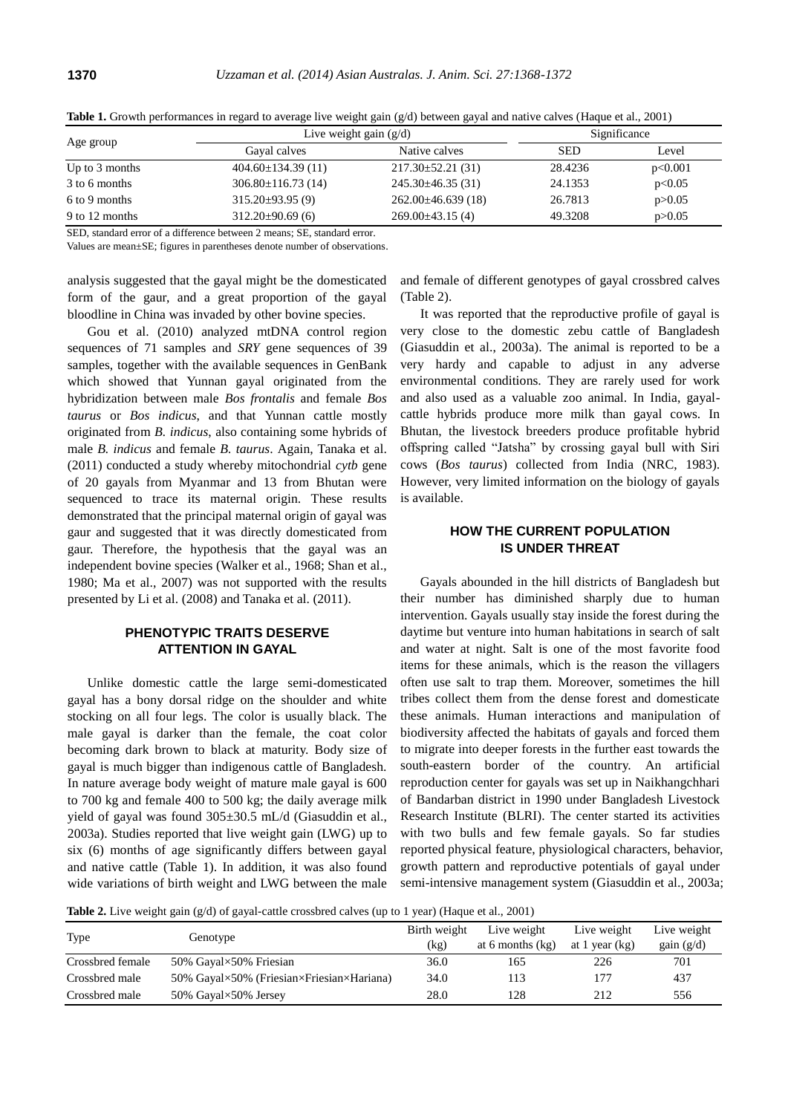|                  | Live weight gain $(g/d)$ | Significance            |            |          |  |
|------------------|--------------------------|-------------------------|------------|----------|--|
| Age group        | Gayal calves             | Native calves           | <b>SED</b> | Level    |  |
| Up to $3$ months | $404.60 \pm 134.39(11)$  | $217.30 \pm 52.21$ (31) | 28.4236    | p<0.001  |  |
| 3 to 6 months    | $306.80 \pm 116.73(14)$  | $245.30\pm46.35(31)$    | 24.1353    | p<0.05   |  |
| 6 to 9 months    | $315.20\pm93.95(9)$      | $262.00\pm46.639(18)$   | 26.7813    | p > 0.05 |  |
| 9 to 12 months   | $312.20\pm90.69(6)$      | $269.00\pm43.15(4)$     | 49.3208    | p > 0.05 |  |

**Table 1.** Growth performances in regard to average live weight gain (g/d) between gayal and native calves (Haque et al., 2001)

SED, standard error of a difference between 2 means; SE, standard error.

Values are mean±SE; figures in parentheses denote number of observations.

analysis suggested that the gayal might be the domesticated form of the gaur, and a great proportion of the gayal bloodline in China was invaded by other bovine species.

Gou et al. (2010) analyzed mtDNA control region sequences of 71 samples and *SRY* gene sequences of 39 samples, together with the available sequences in GenBank which showed that Yunnan gayal originated from the hybridization between male *Bos frontalis* and female *Bos taurus* or *Bos indicus*, and that Yunnan cattle mostly originated from *B. indicus*, also containing some hybrids of male *B. indicus* and female *B. taurus*. Again, Tanaka et al. (2011) conducted a study whereby mitochondrial *cytb* gene of 20 gayals from Myanmar and 13 from Bhutan were sequenced to trace its maternal origin. These results demonstrated that the principal maternal origin of gayal was gaur and suggested that it was directly domesticated from gaur. Therefore, the hypothesis that the gayal was an independent bovine species (Walker et al., 1968; Shan et al., 1980; Ma et al., 2007) was not supported with the results presented by Li et al. (2008) and Tanaka et al. (2011).

# **PHENOTYPIC TRAITS DESERVE ATTENTION IN GAYAL**

Unlike domestic cattle the large semi-domesticated gayal has a bony dorsal ridge on the shoulder and white stocking on all four legs. The color is usually black. The male gayal is darker than the female, the coat color becoming dark brown to black at maturity. Body size of gayal is much bigger than indigenous cattle of Bangladesh. In nature average body weight of mature male gayal is 600 to 700 kg and female 400 to 500 kg; the daily average milk yield of gayal was found 305±30.5 mL/d (Giasuddin et al., 2003a). Studies reported that live weight gain (LWG) up to six (6) months of age significantly differs between gayal and native cattle (Table 1). In addition, it was also found wide variations of birth weight and LWG between the male

and female of different genotypes of gayal crossbred calves (Table 2).

It was reported that the reproductive profile of gayal is very close to the domestic zebu cattle of Bangladesh (Giasuddin et al., 2003a). The animal is reported to be a very hardy and capable to adjust in any adverse environmental conditions. They are rarely used for work and also used as a valuable zoo animal. In India, gayalcattle hybrids produce more milk than gayal cows. In Bhutan, the livestock breeders produce profitable hybrid offspring called "Jatsha" by crossing gayal bull with Siri cows (*Bos taurus*) collected from India (NRC, 1983). However, very limited information on the biology of gayals is available.

# **HOW THE CURRENT POPULATION IS UNDER THREAT**

Gayals abounded in the hill districts of Bangladesh but their number has diminished sharply due to human intervention. Gayals usually stay inside the forest during the daytime but venture into human habitations in search of salt and water at night. Salt is one of the most favorite food items for these animals, which is the reason the villagers often use salt to trap them. Moreover, sometimes the hill tribes collect them from the dense forest and domesticate these animals. Human interactions and manipulation of biodiversity affected the habitats of gayals and forced them to migrate into deeper forests in the further east towards the south-eastern border of the country. An artificial reproduction center for gayals was set up in Naikhangchhari of Bandarban district in 1990 under Bangladesh Livestock Research Institute (BLRI). The center started its activities with two bulls and few female gayals. So far studies reported physical feature, physiological characters, behavior, growth pattern and reproductive potentials of gayal under semi-intensive management system (Giasuddin et al., 2003a;

**Table 2.** Live weight gain (g/d) of gayal-cattle crossbred calves (up to 1 year) (Haque et al., 2001)

| Type             | Genotype                                  | Birth weight | Live weight      | Live weight    | Live weight |
|------------------|-------------------------------------------|--------------|------------------|----------------|-------------|
|                  |                                           | (kg)         | at 6 months (kg) | at 1 year (kg) | gain(g/d)   |
| Crossbred female | 50% Gayal×50% Friesian                    | 36.0         | 165              | 226            | 701         |
| Crossbred male   | 50% Gayal×50% (Friesian×Friesian×Hariana) | 34.0         | 113              | 177            | 437         |
| Crossbred male   | 50% Gayal×50% Jersey                      | 28.0         | 128              | 212            | 556         |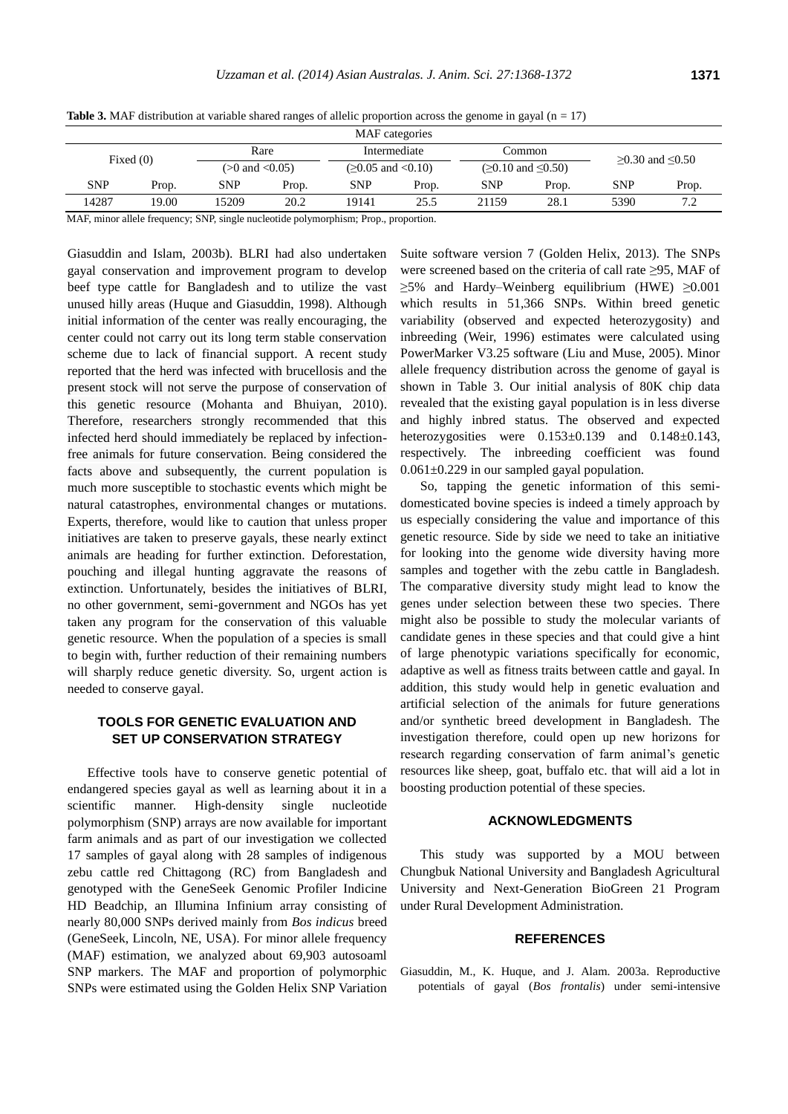**Table 3.** MAF distribution at variable shared ranges of allelic proportion across the genome in gayal ( $n = 17$ )

| MAF categories |       |            |                      |              |                         |            |                       |                 |       |
|----------------|-------|------------|----------------------|--------------|-------------------------|------------|-----------------------|-----------------|-------|
| Fixed $(0)$    |       |            | Rare                 | Intermediate |                         | Common     |                       | ≥0.30 and ≤0.50 |       |
|                |       |            | $(>0$ and $< 0.05$ ) |              | $(ge 0.05$ and $<0.10)$ |            | $(≥0.10$ and $≤0.50)$ |                 |       |
| <b>SNP</b>     | Prop. | <b>SNP</b> | Prop.                | <b>SNP</b>   | Prop.                   | <b>SNP</b> | Prop.                 | <b>SNP</b>      | Prop. |
| 14287          | 19.00 | 15209      | 20.2                 | 19141        | 25.5                    | 21159      | 28.1                  | 5390            | 7.2   |

MAF, minor allele frequency; SNP, single nucleotide polymorphism; Prop., proportion.

Giasuddin and Islam, 2003b). BLRI had also undertaken gayal conservation and improvement program to develop beef type cattle for Bangladesh and to utilize the vast unused hilly areas (Huque and Giasuddin, 1998). Although initial information of the center was really encouraging, the center could not carry out its long term stable conservation scheme due to lack of financial support. A recent study reported that the herd was infected with brucellosis and the present stock will not serve the purpose of conservation of this genetic resource (Mohanta and Bhuiyan, 2010). Therefore, researchers strongly recommended that this infected herd should immediately be replaced by infectionfree animals for future conservation. Being considered the facts above and subsequently, the current population is much more susceptible to stochastic events which might be natural catastrophes, environmental changes or mutations. Experts, therefore, would like to caution that unless proper initiatives are taken to preserve gayals, these nearly extinct animals are heading for further extinction. Deforestation, pouching and illegal hunting aggravate the reasons of extinction. Unfortunately, besides the initiatives of BLRI, no other government, semi-government and NGOs has yet taken any program for the conservation of this valuable genetic resource. When the population of a species is small to begin with, further reduction of their remaining numbers will sharply reduce genetic diversity. So, urgent action is needed to conserve gayal.

# **TOOLS FOR GENETIC EVALUATION AND SET UP CONSERVATION STRATEGY**

Effective tools have to conserve genetic potential of endangered species gayal as well as learning about it in a scientific manner. High-density single nucleotide polymorphism (SNP) arrays are now available for important farm animals and as part of our investigation we collected 17 samples of gayal along with 28 samples of indigenous zebu cattle red Chittagong (RC) from Bangladesh and genotyped with the GeneSeek Genomic Profiler Indicine HD Beadchip, an Illumina Infinium array consisting of nearly 80,000 SNPs derived mainly from *Bos indicus* breed (GeneSeek, Lincoln, NE, USA). For minor allele frequency (MAF) estimation, we analyzed about 69,903 autosoaml SNP markers. The MAF and proportion of polymorphic SNPs were estimated using the Golden Helix SNP Variation

Suite software version 7 (Golden Helix, 2013). The SNPs were screened based on the criteria of call rate ≥95, MAF of  $\geq$ 5% and Hardy–Weinberg equilibrium (HWE)  $\geq$ 0.001 which results in 51,366 SNPs. Within breed genetic variability (observed and expected heterozygosity) and inbreeding (Weir, 1996) estimates were calculated using PowerMarker V3.25 software (Liu [and Muse, 2005\)](http://www.ncbi.nlm.nih.gov/pmc/articles/PMC3604626/#B23). Minor allele frequency distribution across the genome of gayal is shown in Table 3. Our initial analysis of 80K chip data revealed that the existing gayal population is in less diverse and highly inbred status. The observed and expected heterozygosities were  $0.153\pm0.139$  and  $0.148\pm0.143$ , respectively. The inbreeding coefficient was found  $0.061 \pm 0.229$  in our sampled gayal population.

So, tapping the genetic information of this semidomesticated bovine species is indeed a timely approach by us especially considering the value and importance of this genetic resource. Side by side we need to take an initiative for looking into the genome wide diversity having more samples and together with the zebu cattle in Bangladesh. The comparative diversity study might lead to know the genes under selection between these two species. There might also be possible to study the molecular variants of candidate genes in these species and that could give a hint of large phenotypic variations specifically for economic, adaptive as well as fitness traits between cattle and gayal. In addition, this study would help in genetic evaluation and artificial selection of the animals for future generations and/or synthetic breed development in Bangladesh. The investigation therefore, could open up new horizons for research regarding conservation of farm animal's genetic resources like sheep, goat, buffalo etc. that will aid a lot in boosting production potential of these species.

#### **ACKNOWLEDGMENTS**

This study was supported by a MOU between Chungbuk National University and Bangladesh Agricultural University and Next-Generation BioGreen 21 Program under Rural Development Administration.

### **REFERENCES**

Giasuddin, M., K. Huque, and J. Alam. 2003a. [Reproductive](http://www.ajas.info/journal/view.php?number=20395)  potentials of gayal (*Bos frontalis*[\) under semi-intensive](http://www.ajas.info/journal/view.php?number=20395)